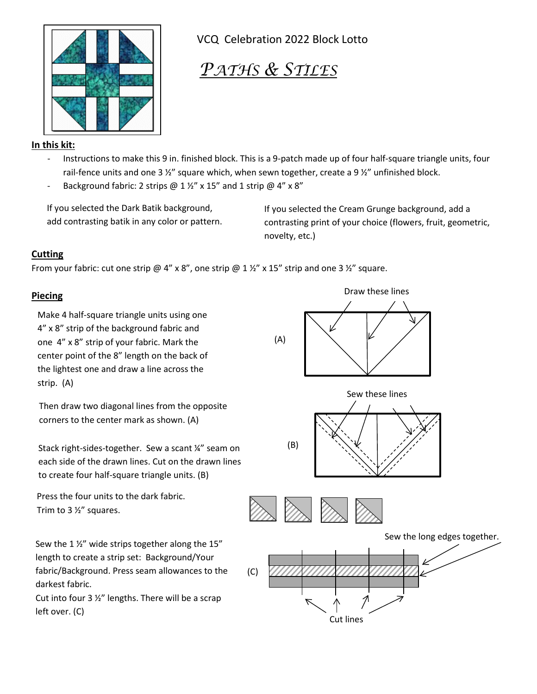

VCQ Celebration 2022 Block Lotto

## *PATHS & STILES*

## **In this kit:**

- Instructions to make this 9 in. finished block. This is a 9-patch made up of four half-square triangle units, four rail-fence units and one 3  $\frac{1}{2}$ " square which, when sewn together, create a 9  $\frac{1}{2}$ " unfinished block.
- Background fabric: 2 strips  $@1\frac{1}{2}"$  x 15" and 1 strip  $@4"$  x 8"

If you selected the Dark Batik background, add contrasting batik in any color or pattern.

If you selected the Cream Grunge background, add a contrasting print of your choice (flowers, fruit, geometric, novelty, etc.)

## **Cutting**

From your fabric: cut one strip @ 4" x 8", one strip @ 1  $\frac{1}{2}$ " x 15" strip and one 3  $\frac{1}{2}$ " square.

## **Piecing**

Make 4 half-square triangle units using one 4" x 8" strip of the background fabric and one 4" x 8" strip of your fabric. Mark the center point of the 8" length on the back of the lightest one and draw a line across the strip. (A)

Then draw two diagonal lines from the opposite corners to the center mark as shown. (A)

Stack right-sides-together. Sew a scant ¼" seam on each side of the drawn lines. Cut on the drawn lines to create four half-square triangle units. (B)

Press the four units to the dark fabric. Trim to 3 ½" squares.

Sew the 1 $\frac{1}{2}$ " wide strips together along the 15" length to create a strip set: Background/Your fabric/Background. Press seam allowances to the darkest fabric.

Cut into four 3  $\frac{1}{2}$ " lengths. There will be a scrap left over. (C)